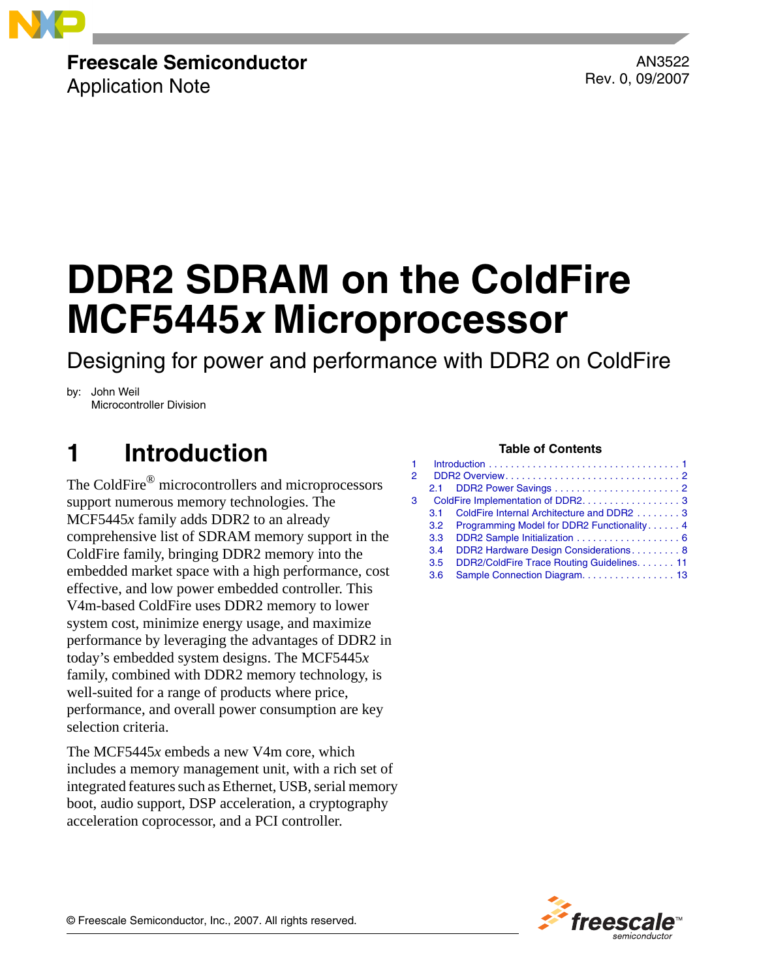

## **Freescale Semiconductor**

Application Note

AN3522 Rev. 0, 09/2007

# **DDR2 SDRAM on the ColdFire MCF5445***x* **Microprocessor**

Designing for power and performance with DDR2 on ColdFire

by: John Weil Microcontroller Division

## <span id="page-0-0"></span>**Table of Contents 1 Introduction**

The ColdFire® microcontrollers and microprocessors support numerous memory technologies. The MCF5445*x* family adds DDR2 to an already comprehensive list of SDRAM memory support in the ColdFire family, bringing DDR2 memory into the embedded market space with a high performance, cost effective, and low power embedded controller. This V4m-based ColdFire uses DDR2 memory to lower system cost, minimize energy usage, and maximize performance by leveraging the advantages of DDR2 in today's embedded system designs. The MCF5445*x* family, combined with DDR2 memory technology, is well-suited for a range of products where price, performance, and overall power consumption are key selection criteria.

The MCF5445*x* embeds a new V4m core, which includes a memory management unit, with a rich set of integrated features such as Ethernet, USB, serial memory boot, audio support, DSP acceleration, a cryptography acceleration coprocessor, and a PCI controller.

| 1. |                                    |                                               |  |
|----|------------------------------------|-----------------------------------------------|--|
| 2. |                                    |                                               |  |
|    |                                    |                                               |  |
| 3  | ColdFire Implementation of DDR2. 3 |                                               |  |
|    | 3.1                                | ColdFire Internal Architecture and DDR2 3     |  |
|    |                                    | 3.2 Programming Model for DDR2 Functionality4 |  |
|    | 3.3                                |                                               |  |
|    | 3.4                                | DDR2 Hardware Design Considerations 8         |  |
|    | 3.5                                | DDR2/ColdFire Trace Routing Guidelines. 11    |  |
|    | 3.6                                | Sample Connection Diagram. 13                 |  |

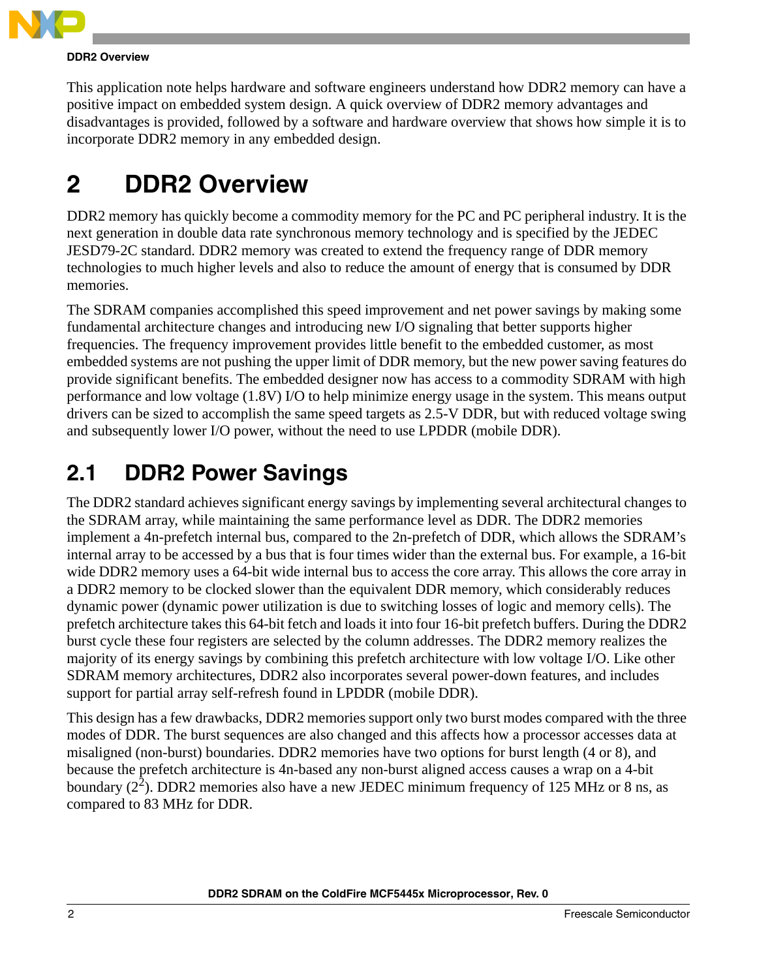

#### **DDR2 Overview**

This application note helps hardware and software engineers understand how DDR2 memory can have a positive impact on embedded system design. A quick overview of DDR2 memory advantages and disadvantages is provided, followed by a software and hardware overview that shows how simple it is to incorporate DDR2 memory in any embedded design.

## <span id="page-1-0"></span>**2 DDR2 Overview**

DDR2 memory has quickly become a commodity memory for the PC and PC peripheral industry. It is the next generation in double data rate synchronous memory technology and is specified by the JEDEC JESD79-2C standard. DDR2 memory was created to extend the frequency range of DDR memory technologies to much higher levels and also to reduce the amount of energy that is consumed by DDR memories.

The SDRAM companies accomplished this speed improvement and net power savings by making some fundamental architecture changes and introducing new I/O signaling that better supports higher frequencies. The frequency improvement provides little benefit to the embedded customer, as most embedded systems are not pushing the upper limit of DDR memory, but the new power saving features do provide significant benefits. The embedded designer now has access to a commodity SDRAM with high performance and low voltage (1.8V) I/O to help minimize energy usage in the system. This means output drivers can be sized to accomplish the same speed targets as 2.5-V DDR, but with reduced voltage swing and subsequently lower I/O power, without the need to use LPDDR (mobile DDR).

### <span id="page-1-1"></span>**2.1 DDR2 Power Savings**

The DDR2 standard achieves significant energy savings by implementing several architectural changes to the SDRAM array, while maintaining the same performance level as DDR. The DDR2 memories implement a 4n-prefetch internal bus, compared to the 2n-prefetch of DDR, which allows the SDRAM's internal array to be accessed by a bus that is four times wider than the external bus. For example, a 16-bit wide DDR2 memory uses a 64-bit wide internal bus to access the core array. This allows the core array in a DDR2 memory to be clocked slower than the equivalent DDR memory, which considerably reduces dynamic power (dynamic power utilization is due to switching losses of logic and memory cells). The prefetch architecture takes this 64-bit fetch and loads it into four 16-bit prefetch buffers. During the DDR2 burst cycle these four registers are selected by the column addresses. The DDR2 memory realizes the majority of its energy savings by combining this prefetch architecture with low voltage I/O. Like other SDRAM memory architectures, DDR2 also incorporates several power-down features, and includes support for partial array self-refresh found in LPDDR (mobile DDR).

This design has a few drawbacks, DDR2 memories support only two burst modes compared with the three modes of DDR. The burst sequences are also changed and this affects how a processor accesses data at misaligned (non-burst) boundaries. DDR2 memories have two options for burst length (4 or 8), and because the prefetch architecture is 4n-based any non-burst aligned access causes a wrap on a 4-bit boundary  $(2^2)$ . DDR2 memories also have a new JEDEC minimum frequency of 125 MHz or 8 ns, as compared to 83 MHz for DDR.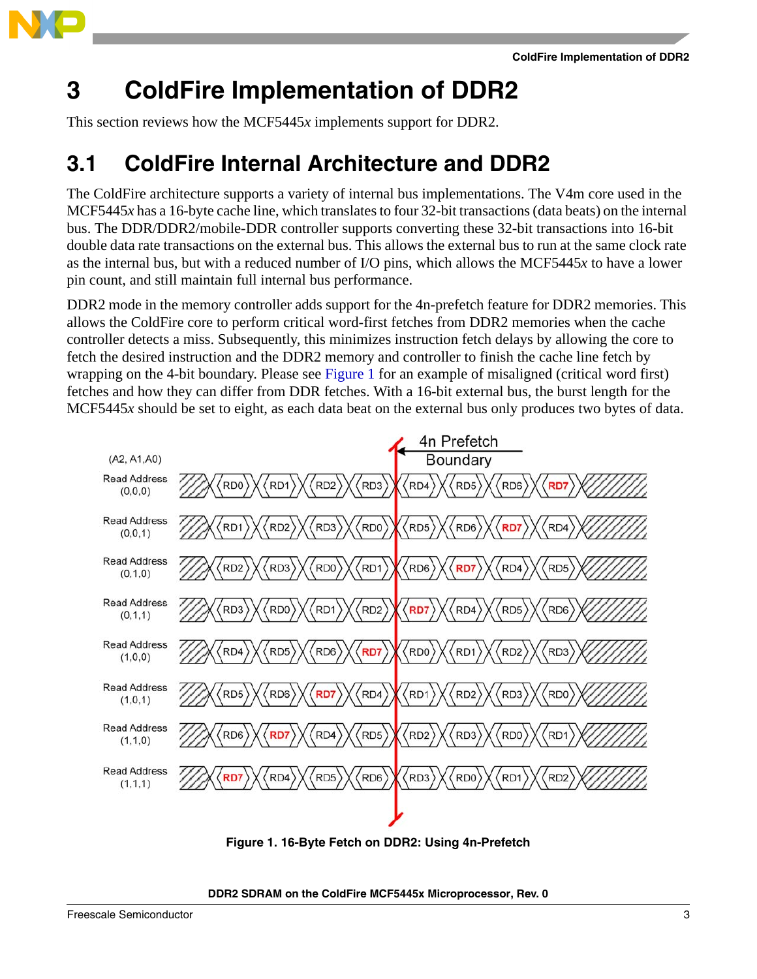

<span id="page-2-0"></span>This section reviews how the MCF5445*x* implements support for DDR2.

### <span id="page-2-1"></span>**3.1 ColdFire Internal Architecture and DDR2**

The ColdFire architecture supports a variety of internal bus implementations. The V4m core used in the MCF5445*x* has a 16-byte cache line, which translates to four 32-bit transactions (data beats) on the internal bus. The DDR/DDR2/mobile-DDR controller supports converting these 32-bit transactions into 16-bit double data rate transactions on the external bus. This allows the external bus to run at the same clock rate as the internal bus, but with a reduced number of I/O pins, which allows the MCF5445*x* to have a lower pin count, and still maintain full internal bus performance.

DDR2 mode in the memory controller adds support for the 4n-prefetch feature for DDR2 memories. This allows the ColdFire core to perform critical word-first fetches from DDR2 memories when the cache controller detects a miss. Subsequently, this minimizes instruction fetch delays by allowing the core to fetch the desired instruction and the DDR2 memory and controller to finish the cache line fetch by wrapping on the 4-bit boundary. Please see Figure 1 for an example of misaligned (critical word first) fetches and how they can differ from DDR fetches. With a 16-bit external bus, the burst length for the MCF5445*x* should be set to eight, as each data beat on the external bus only produces two bytes of data.



**Figure 1. 16-Byte Fetch on DDR2: Using 4n-Prefetch**

### **DDR2 SDRAM on the ColdFire MCF5445x Microprocessor, Rev. 0**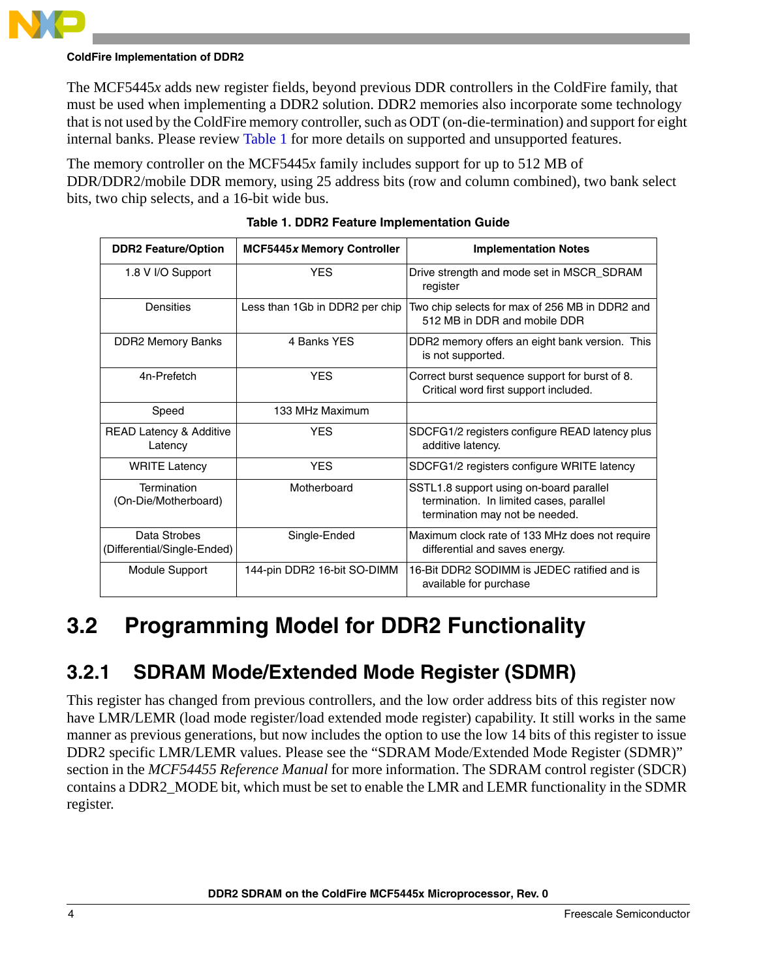

The MCF5445*x* adds new register fields, beyond previous DDR controllers in the ColdFire family, that must be used when implementing a DDR2 solution. DDR2 memories also incorporate some technology that is not used by the ColdFire memory controller, such as ODT (on-die-termination) and support for eight internal banks. Please review [Table 1](#page-3-1) for more details on supported and unsupported features.

The memory controller on the MCF5445*x* family includes support for up to 512 MB of DDR/DDR2/mobile DDR memory, using 25 address bits (row and column combined), two bank select bits, two chip selects, and a 16-bit wide bus.

<span id="page-3-1"></span>

| <b>DDR2 Feature/Option</b>                    | <b>MCF5445x Memory Controller</b> | <b>Implementation Notes</b>                                                                                          |
|-----------------------------------------------|-----------------------------------|----------------------------------------------------------------------------------------------------------------------|
| 1.8 V I/O Support                             | <b>YES</b>                        | Drive strength and mode set in MSCR_SDRAM<br>register                                                                |
| Densities                                     | Less than 1Gb in DDR2 per chip    | Two chip selects for max of 256 MB in DDR2 and<br>512 MB in DDR and mobile DDR                                       |
| <b>DDR2 Memory Banks</b>                      | 4 Banks YES                       | DDR2 memory offers an eight bank version. This<br>is not supported.                                                  |
| 4n-Prefetch                                   | <b>YFS</b>                        | Correct burst sequence support for burst of 8.<br>Critical word first support included.                              |
| Speed                                         | 133 MHz Maximum                   |                                                                                                                      |
| <b>READ Latency &amp; Additive</b><br>Latency | <b>YFS</b>                        | SDCFG1/2 registers configure READ latency plus<br>additive latency.                                                  |
| <b>WRITE Latency</b>                          | <b>YFS</b>                        | SDCFG1/2 registers configure WRITE latency                                                                           |
| Termination<br>(On-Die/Motherboard)           | Motherboard                       | SSTL1.8 support using on-board parallel<br>termination. In limited cases, parallel<br>termination may not be needed. |
| Data Strobes<br>(Differential/Single-Ended)   | Single-Ended                      | Maximum clock rate of 133 MHz does not require<br>differential and saves energy.                                     |
| Module Support                                | 144-pin DDR2 16-bit SO-DIMM       | 16-Bit DDR2 SODIMM is JEDEC ratified and is<br>available for purchase                                                |

|  |  | <b>Table 1. DDR2 Feature Implementation Guide</b> |  |
|--|--|---------------------------------------------------|--|
|  |  |                                                   |  |

### <span id="page-3-0"></span>**3.2 Programming Model for DDR2 Functionality**

### **3.2.1 SDRAM Mode/Extended Mode Register (SDMR)**

This register has changed from previous controllers, and the low order address bits of this register now have LMR/LEMR (load mode register/load extended mode register) capability. It still works in the same manner as previous generations, but now includes the option to use the low 14 bits of this register to issue DDR2 specific LMR/LEMR values. Please see the "SDRAM Mode/Extended Mode Register (SDMR)" section in the *MCF54455 Reference Manual* for more information. The SDRAM control register (SDCR) contains a DDR2\_MODE bit, which must be set to enable the LMR and LEMR functionality in the SDMR register.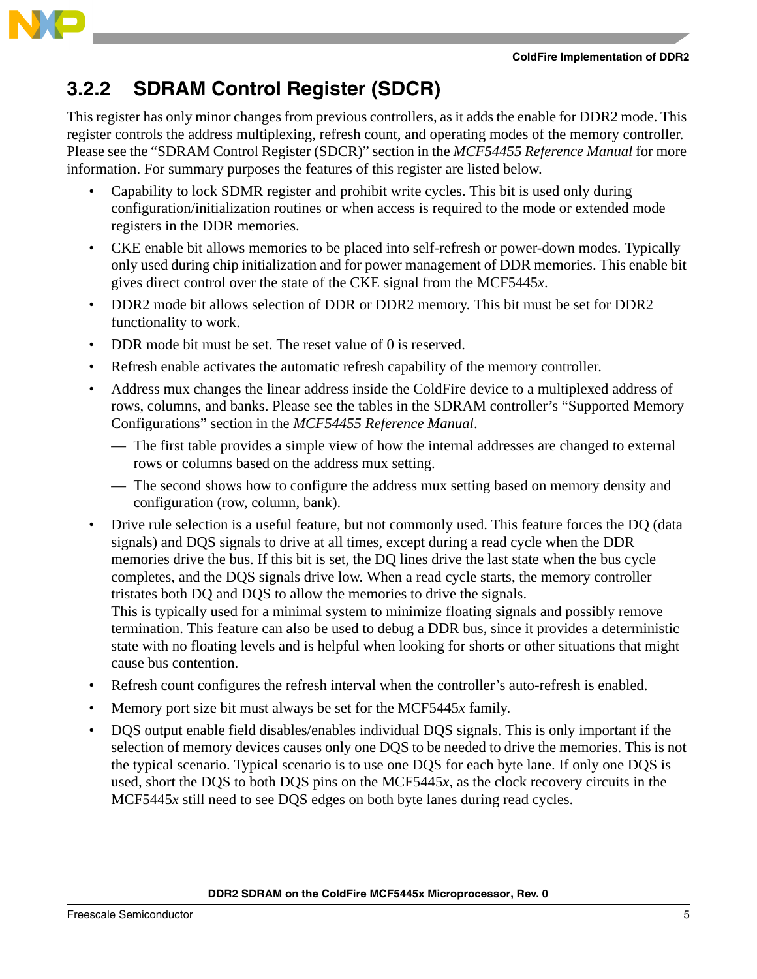

### **3.2.2 SDRAM Control Register (SDCR)**

This register has only minor changes from previous controllers, as it adds the enable for DDR2 mode. This register controls the address multiplexing, refresh count, and operating modes of the memory controller. Please see the "SDRAM Control Register (SDCR)" section in the *MCF54455 Reference Manual* for more information. For summary purposes the features of this register are listed below.

- Capability to lock SDMR register and prohibit write cycles. This bit is used only during configuration/initialization routines or when access is required to the mode or extended mode registers in the DDR memories.
- CKE enable bit allows memories to be placed into self-refresh or power-down modes. Typically only used during chip initialization and for power management of DDR memories. This enable bit gives direct control over the state of the CKE signal from the MCF5445*x*.
- DDR2 mode bit allows selection of DDR or DDR2 memory. This bit must be set for DDR2 functionality to work.
- DDR mode bit must be set. The reset value of 0 is reserved.
- Refresh enable activates the automatic refresh capability of the memory controller.
- Address mux changes the linear address inside the ColdFire device to a multiplexed address of rows, columns, and banks. Please see the tables in the SDRAM controller's "Supported Memory Configurations" section in the *MCF54455 Reference Manual*.
	- The first table provides a simple view of how the internal addresses are changed to external rows or columns based on the address mux setting.
	- The second shows how to configure the address mux setting based on memory density and configuration (row, column, bank).
- Drive rule selection is a useful feature, but not commonly used. This feature forces the DQ (data signals) and DQS signals to drive at all times, except during a read cycle when the DDR memories drive the bus. If this bit is set, the DQ lines drive the last state when the bus cycle completes, and the DQS signals drive low. When a read cycle starts, the memory controller tristates both DQ and DQS to allow the memories to drive the signals. This is typically used for a minimal system to minimize floating signals and possibly remove termination. This feature can also be used to debug a DDR bus, since it provides a deterministic state with no floating levels and is helpful when looking for shorts or other situations that might cause bus contention.
- Refresh count configures the refresh interval when the controller's auto-refresh is enabled.
- Memory port size bit must always be set for the MCF5445*x* family.
- DQS output enable field disables/enables individual DQS signals. This is only important if the selection of memory devices causes only one DQS to be needed to drive the memories. This is not the typical scenario. Typical scenario is to use one DQS for each byte lane. If only one DQS is used, short the DQS to both DQS pins on the MCF5445*x*, as the clock recovery circuits in the MCF5445*x* still need to see DQS edges on both byte lanes during read cycles.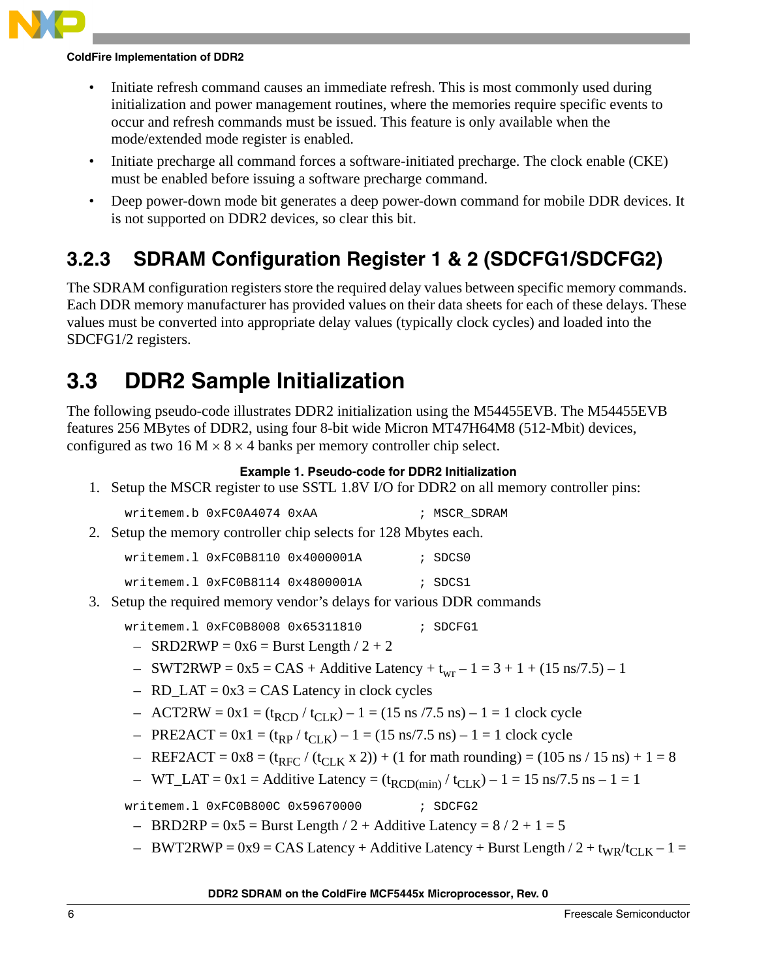

- Initiate refresh command causes an immediate refresh. This is most commonly used during initialization and power management routines, where the memories require specific events to occur and refresh commands must be issued. This feature is only available when the mode/extended mode register is enabled.
- Initiate precharge all command forces a software-initiated precharge. The clock enable (CKE) must be enabled before issuing a software precharge command.
- Deep power-down mode bit generates a deep power-down command for mobile DDR devices. It is not supported on DDR2 devices, so clear this bit.

### **3.2.3 SDRAM Configuration Register 1 & 2 (SDCFG1/SDCFG2)**

The SDRAM configuration registers store the required delay values between specific memory commands. Each DDR memory manufacturer has provided values on their data sheets for each of these delays. These values must be converted into appropriate delay values (typically clock cycles) and loaded into the SDCFG1/2 registers.

### <span id="page-5-0"></span>**3.3 DDR2 Sample Initialization**

The following pseudo-code illustrates DDR2 initialization using the M54455EVB. The M54455EVB features 256 MBytes of DDR2, using four 8-bit wide Micron MT47H64M8 (512-Mbit) devices, configured as two 16 M  $\times$  8  $\times$  4 banks per memory controller chip select.

### **Example 1. Pseudo-code for DDR2 Initialization**

1. Setup the MSCR register to use SSTL 1.8V I/O for DDR2 on all memory controller pins:

| writemem.b 0xFC0A4074 0xAA | ; MSCR SDRAM |
|----------------------------|--------------|
|----------------------------|--------------|

2. Setup the memory controller chip selects for 128 Mbytes each.

| writemem.1 0xFC0B8110 0x4000001A |  | ; SDCS0 |
|----------------------------------|--|---------|
|                                  |  |         |

| writemem.1 0xFC0B8114 0x4800001A |  | ; SDCS1 |
|----------------------------------|--|---------|
|                                  |  |         |

3. Setup the required memory vendor's delays for various DDR commands

writemem.1 0xFC0B8008 0x65311810 ; SDCFG1

- $-$  SRD2RWP = 0x6 = Burst Length / 2 + 2
- SWT2RWP =  $0x5 = CAS + Additive Latency + t_{wr} 1 = 3 + 1 + (15 ns/7.5) 1$
- $-$  RD\_LAT = 0x3 = CAS Latency in clock cycles
- ACT2RW =  $0x1 = (t_{RCD} / t_{CLK}) 1 = (15 \text{ ns} / 7.5 \text{ ns}) 1 = 1 \text{ clock cycle}$
- PRE2ACT =  $0x1 = (t_{RP} / t_{CLK}) 1 = (15 \text{ ns}/7.5 \text{ ns}) 1 = 1 \text{ clock cycle}$
- REF2ACT =  $0x8 = (t_{RFC} / (t_{CLK} x 2)) + (1$  for math rounding) = (105 ns / 15 ns) + 1 = 8
- WT\_LAT = 0x1 = Additive Latency =  $(t_{RCD(min)}/t_{CLK}) 1 = 15$  ns/7.5 ns 1 = 1

writemem.l 0xFC0B800C 0x59670000 ; SDCFG2

- $-$  BRD2RP = 0x5 = Burst Length / 2 + Additive Latency = 8 / 2 + 1 = 5
- $-$  BWT2RWP = 0x9 = CAS Latency + Additive Latency + Burst Length / 2 + t<sub>WR</sub>/t<sub>CLK</sub> 1 =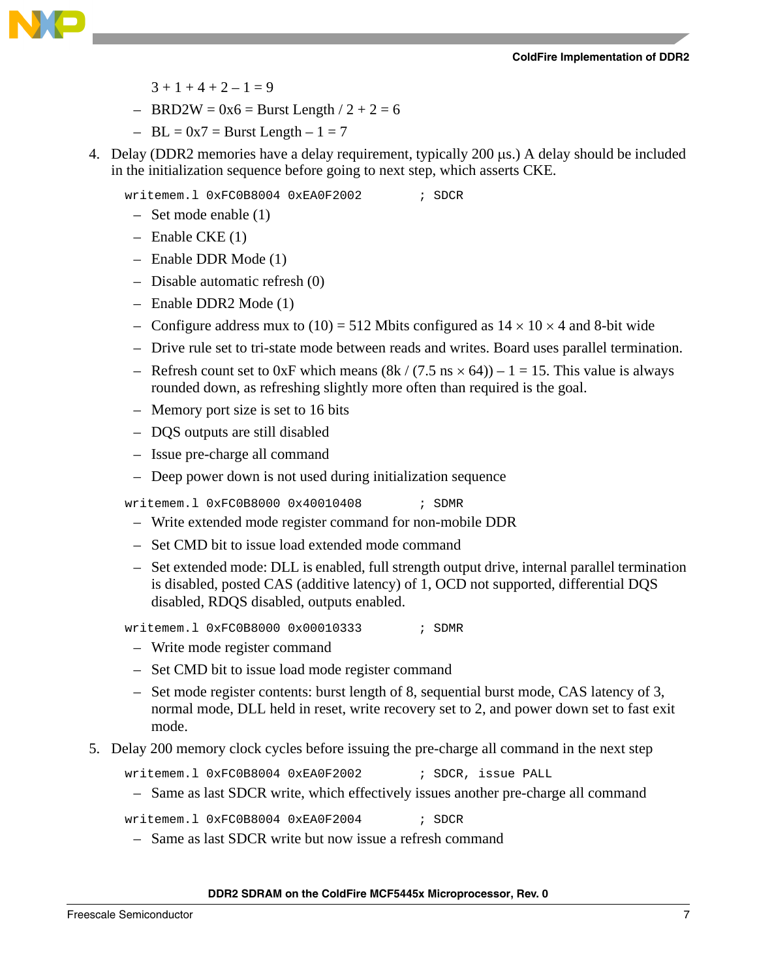

- $3 + 1 + 4 + 2 1 = 9$
- $-$  BRD2W = 0x6 = Burst Length / 2 + 2 = 6
- $-$  BL = 0x7 = Burst Length  $-1 = 7$
- 4. Delay (DDR2 memories have a delay requirement, typically 200 µs.) A delay should be included in the initialization sequence before going to next step, which asserts CKE.

writemem.l 0xFC0B8004 0xEA0F2002 ; SDCR

- Set mode enable (1)
- Enable CKE (1)
- Enable DDR Mode (1)
- Disable automatic refresh (0)
- Enable DDR2 Mode (1)
- Configure address mux to (10) = 512 Mbits configured as  $14 \times 10 \times 4$  and 8-bit wide
- Drive rule set to tri-state mode between reads and writes. Board uses parallel termination.
- Refresh count set to 0xF which means  $(8k / (7.5 \text{ ns} \times 64)) 1 = 15$ . This value is always rounded down, as refreshing slightly more often than required is the goal.
- Memory port size is set to 16 bits
- DQS outputs are still disabled
- Issue pre-charge all command
- Deep power down is not used during initialization sequence

writemem.1 0xFC0B8000 0x40010408 ; SDMR

- Write extended mode register command for non-mobile DDR
- Set CMD bit to issue load extended mode command
- Set extended mode: DLL is enabled, full strength output drive, internal parallel termination is disabled, posted CAS (additive latency) of 1, OCD not supported, differential DQS disabled, RDQS disabled, outputs enabled.

writemem.1 0xFC0B8000 0x00010333 ; SDMR

- Write mode register command
- Set CMD bit to issue load mode register command
- Set mode register contents: burst length of 8, sequential burst mode, CAS latency of 3, normal mode, DLL held in reset, write recovery set to 2, and power down set to fast exit mode.
- 5. Delay 200 memory clock cycles before issuing the pre-charge all command in the next step

writemem.l 0xFC0B8004 0xEA0F2002 ; SDCR, issue PALL

– Same as last SDCR write, which effectively issues another pre-charge all command

writemem.1 0xFC0B8004 0xEA0F2004 ; SDCR

– Same as last SDCR write but now issue a refresh command

#### **DDR2 SDRAM on the ColdFire MCF5445x Microprocessor, Rev. 0**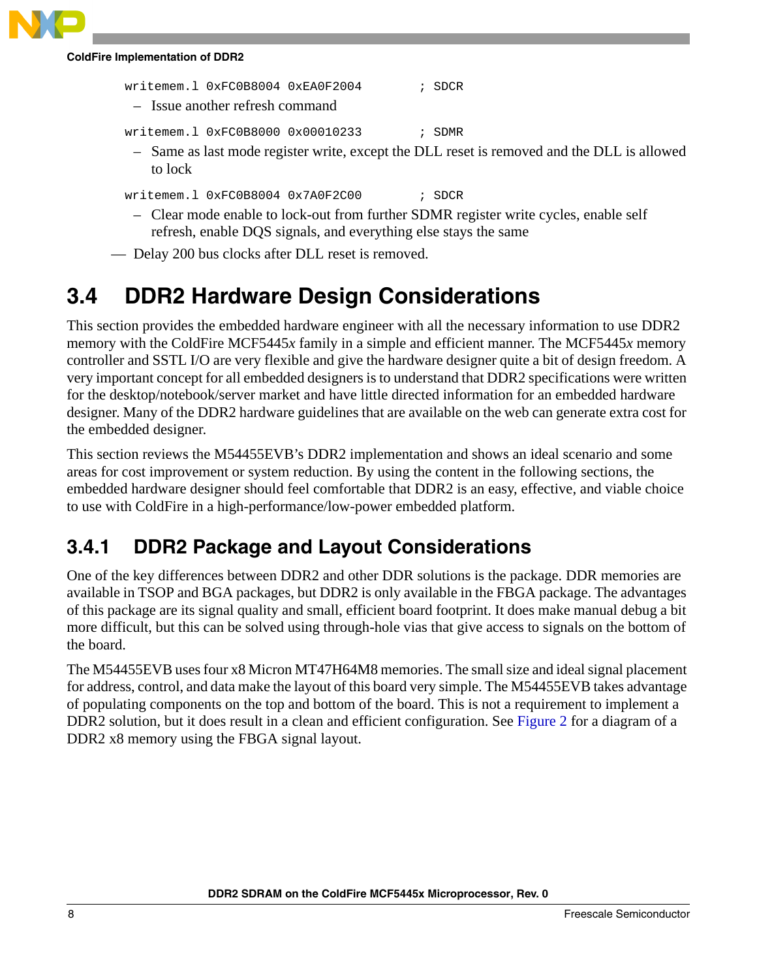writemem.l 0xFC0B8004 0xEA0F2004 ; SDCR

– Issue another refresh command

writemem.1 0xFC0B8000 0x00010233 ; SDMR

– Same as last mode register write, except the DLL reset is removed and the DLL is allowed to lock

writemem.l 0xFC0B8004 0x7A0F2C00 ; SDCR

– Clear mode enable to lock-out from further SDMR register write cycles, enable self refresh, enable DQS signals, and everything else stays the same

— Delay 200 bus clocks after DLL reset is removed.

### <span id="page-7-0"></span>**3.4 DDR2 Hardware Design Considerations**

This section provides the embedded hardware engineer with all the necessary information to use DDR2 memory with the ColdFire MCF5445*x* family in a simple and efficient manner. The MCF5445*x* memory controller and SSTL I/O are very flexible and give the hardware designer quite a bit of design freedom. A very important concept for all embedded designers is to understand that DDR2 specifications were written for the desktop/notebook/server market and have little directed information for an embedded hardware designer. Many of the DDR2 hardware guidelines that are available on the web can generate extra cost for the embedded designer.

This section reviews the M54455EVB's DDR2 implementation and shows an ideal scenario and some areas for cost improvement or system reduction. By using the content in the following sections, the embedded hardware designer should feel comfortable that DDR2 is an easy, effective, and viable choice to use with ColdFire in a high-performance/low-power embedded platform.

### **3.4.1 DDR2 Package and Layout Considerations**

One of the key differences between DDR2 and other DDR solutions is the package. DDR memories are available in TSOP and BGA packages, but DDR2 is only available in the FBGA package. The advantages of this package are its signal quality and small, efficient board footprint. It does make manual debug a bit more difficult, but this can be solved using through-hole vias that give access to signals on the bottom of the board.

The M54455EVB uses four x8 Micron MT47H64M8 memories. The small size and ideal signal placement for address, control, and data make the layout of this board very simple. The M54455EVB takes advantage of populating components on the top and bottom of the board. This is not a requirement to implement a DDR2 solution, but it does result in a clean and efficient configuration. See Figure 2 for a diagram of a DDR2 x8 memory using the FBGA signal layout.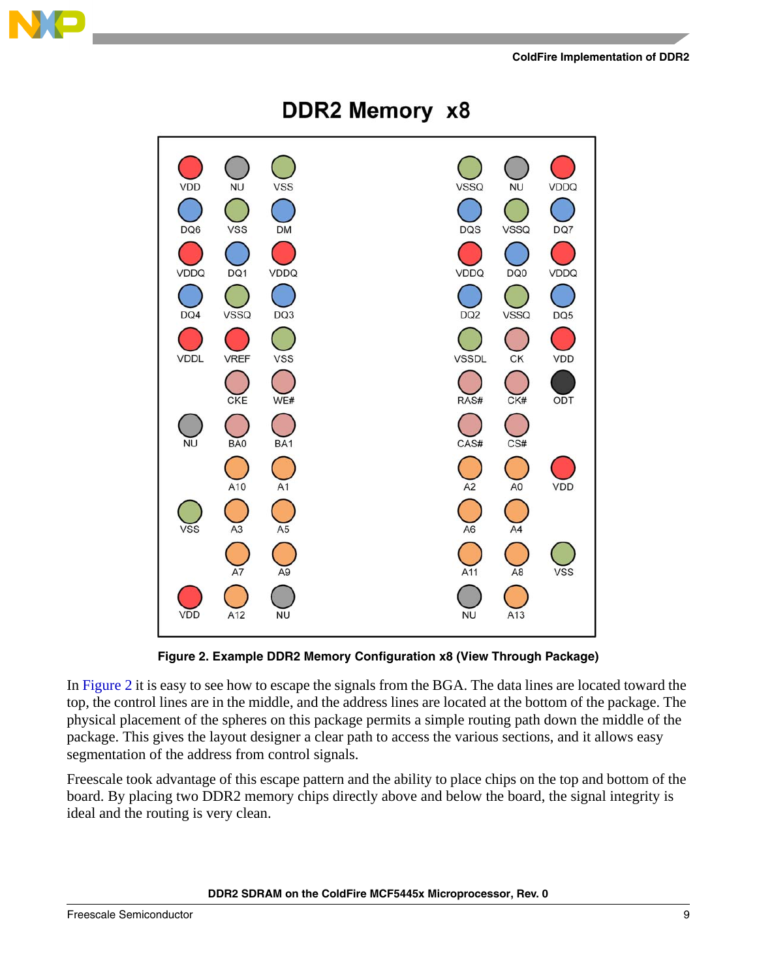



DDR2 Memory x8

**Figure 2. Example DDR2 Memory Configuration x8 (View Through Package)**

In Figure 2 it is easy to see how to escape the signals from the BGA. The data lines are located toward the top, the control lines are in the middle, and the address lines are located at the bottom of the package. The physical placement of the spheres on this package permits a simple routing path down the middle of the package. This gives the layout designer a clear path to access the various sections, and it allows easy segmentation of the address from control signals.

Freescale took advantage of this escape pattern and the ability to place chips on the top and bottom of the board. By placing two DDR2 memory chips directly above and below the board, the signal integrity is ideal and the routing is very clean.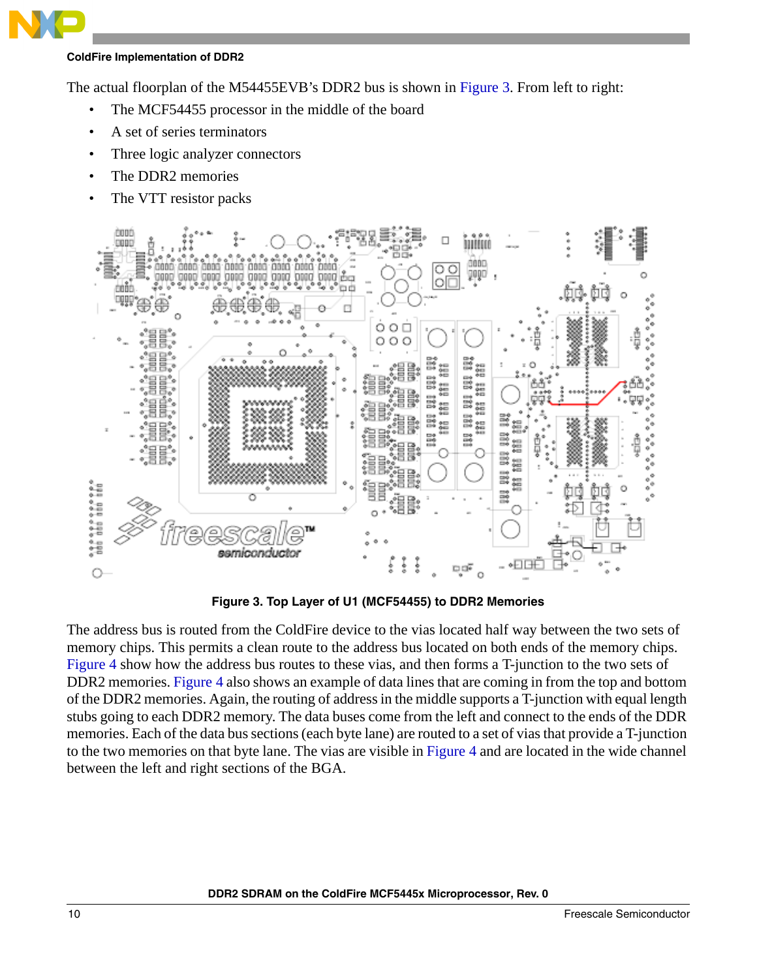The actual floorplan of the M54455EVB's DDR2 bus is shown in Figure 3. From left to right:

- The MCF54455 processor in the middle of the board
- A set of series terminators
- Three logic analyzer connectors
- The DDR2 memories
- The VTT resistor packs



**Figure 3. Top Layer of U1 (MCF54455) to DDR2 Memories**

The address bus is routed from the ColdFire device to the vias located half way between the two sets of memory chips. This permits a clean route to the address bus located on both ends of the memory chips. Figure 4 show how the address bus routes to these vias, and then forms a T-junction to the two sets of DDR2 memories. Figure 4 also shows an example of data lines that are coming in from the top and bottom of the DDR2 memories. Again, the routing of address in the middle supports a T-junction with equal length stubs going to each DDR2 memory. The data buses come from the left and connect to the ends of the DDR memories. Each of the data bus sections (each byte lane) are routed to a set of vias that provide a T-junction to the two memories on that byte lane. The vias are visible in Figure 4 and are located in the wide channel between the left and right sections of the BGA.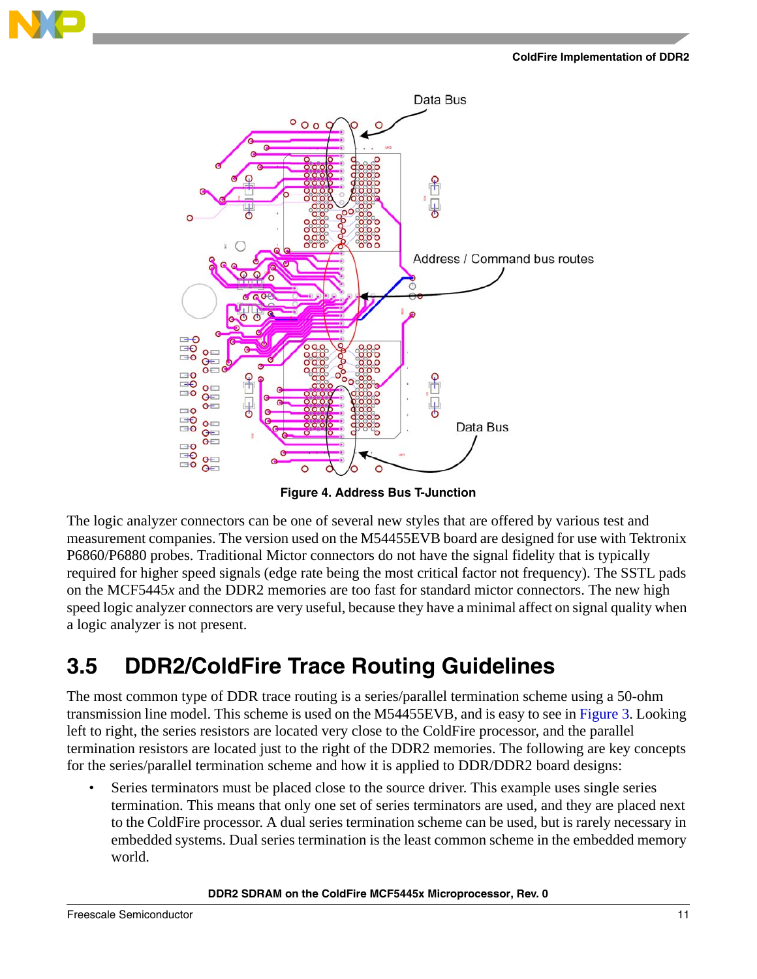

**Figure 4. Address Bus T-Junction**

The logic analyzer connectors can be one of several new styles that are offered by various test and measurement companies. The version used on the M54455EVB board are designed for use with Tektronix P6860/P6880 probes. Traditional Mictor connectors do not have the signal fidelity that is typically required for higher speed signals (edge rate being the most critical factor not frequency). The SSTL pads on the MCF5445*x* and the DDR2 memories are too fast for standard mictor connectors. The new high speed logic analyzer connectors are very useful, because they have a minimal affect on signal quality when a logic analyzer is not present.

### <span id="page-10-0"></span>**3.5 DDR2/ColdFire Trace Routing Guidelines**

The most common type of DDR trace routing is a series/parallel termination scheme using a 50-ohm transmission line model. This scheme is used on the M54455EVB, and is easy to see in Figure 3. Looking left to right, the series resistors are located very close to the ColdFire processor, and the parallel termination resistors are located just to the right of the DDR2 memories. The following are key concepts for the series/parallel termination scheme and how it is applied to DDR/DDR2 board designs:

Series terminators must be placed close to the source driver. This example uses single series termination. This means that only one set of series terminators are used, and they are placed next to the ColdFire processor. A dual series termination scheme can be used, but is rarely necessary in embedded systems. Dual series termination is the least common scheme in the embedded memory world.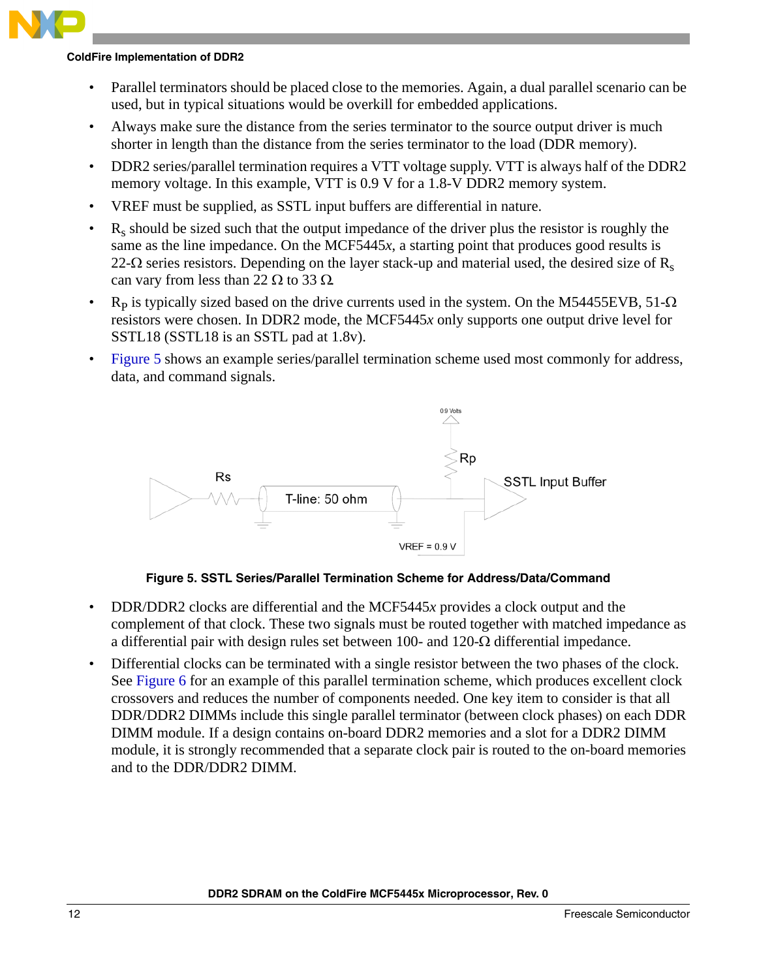- Parallel terminators should be placed close to the memories. Again, a dual parallel scenario can be used, but in typical situations would be overkill for embedded applications.
- Always make sure the distance from the series terminator to the source output driver is much shorter in length than the distance from the series terminator to the load (DDR memory).
- DDR2 series/parallel termination requires a VTT voltage supply. VTT is always half of the DDR2 memory voltage. In this example, VTT is 0.9 V for a 1.8-V DDR2 memory system.
- VREF must be supplied, as SSTL input buffers are differential in nature.
- Rs should be sized such that the output impedance of the driver plus the resistor is roughly the same as the line impedance. On the MCF5445*x*, a starting point that produces good results is 22- $\Omega$  series resistors. Depending on the layer stack-up and material used, the desired size of R<sub>s</sub> can vary from less than 22  $\Omega$  to 33  $\Omega$ .
- R<sub>p</sub> is typically sized based on the drive currents used in the system. On the M54455EVB, 51- $\Omega$ resistors were chosen. In DDR2 mode, the MCF5445*x* only supports one output drive level for SSTL18 (SSTL18 is an SSTL pad at 1.8v).
- Figure 5 shows an example series/parallel termination scheme used most commonly for address, data, and command signals.



**Figure 5. SSTL Series/Parallel Termination Scheme for Address/Data/Command**

- DDR/DDR2 clocks are differential and the MCF5445*x* provides a clock output and the complement of that clock. These two signals must be routed together with matched impedance as a differential pair with design rules set between 100- and 120- $\Omega$  differential impedance.
- Differential clocks can be terminated with a single resistor between the two phases of the clock. See Figure 6 for an example of this parallel termination scheme, which produces excellent clock crossovers and reduces the number of components needed. One key item to consider is that all DDR/DDR2 DIMMs include this single parallel terminator (between clock phases) on each DDR DIMM module. If a design contains on-board DDR2 memories and a slot for a DDR2 DIMM module, it is strongly recommended that a separate clock pair is routed to the on-board memories and to the DDR/DDR2 DIMM.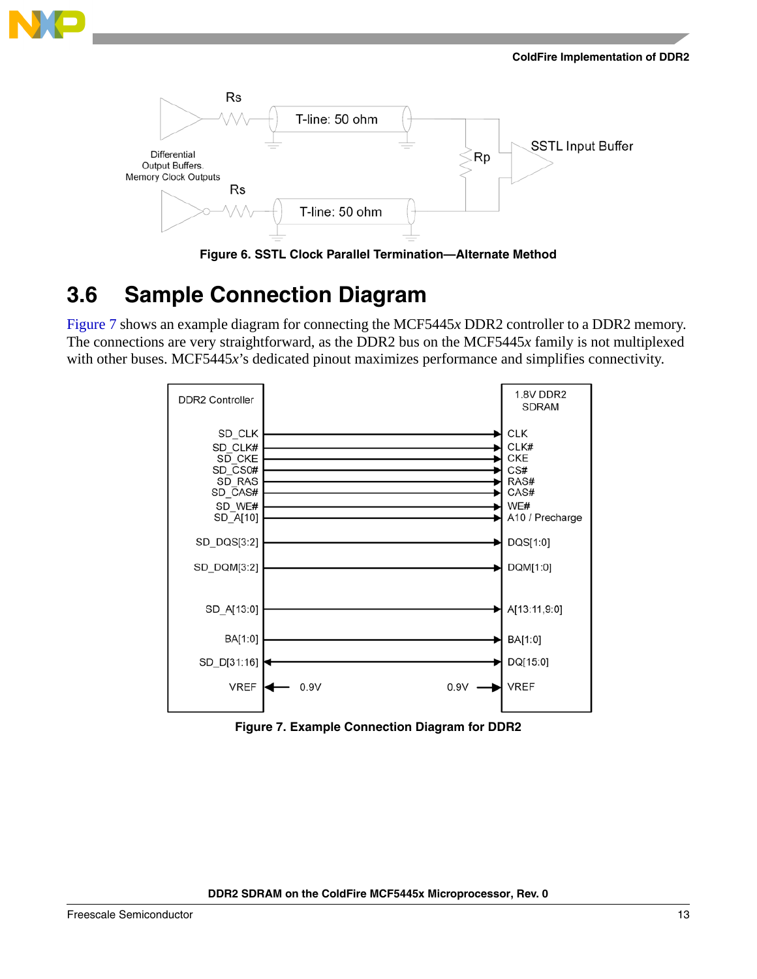



**Figure 6. SSTL Clock Parallel Termination—Alternate Method**

### <span id="page-12-0"></span>**3.6 Sample Connection Diagram**

Figure 7 shows an example diagram for connecting the MCF5445*x* DDR2 controller to a DDR2 memory. The connections are very straightforward, as the DDR2 bus on the MCF5445*x* family is not multiplexed with other buses. MCF5445*x*'s dedicated pinout maximizes performance and simplifies connectivity.



**Figure 7. Example Connection Diagram for DDR2**